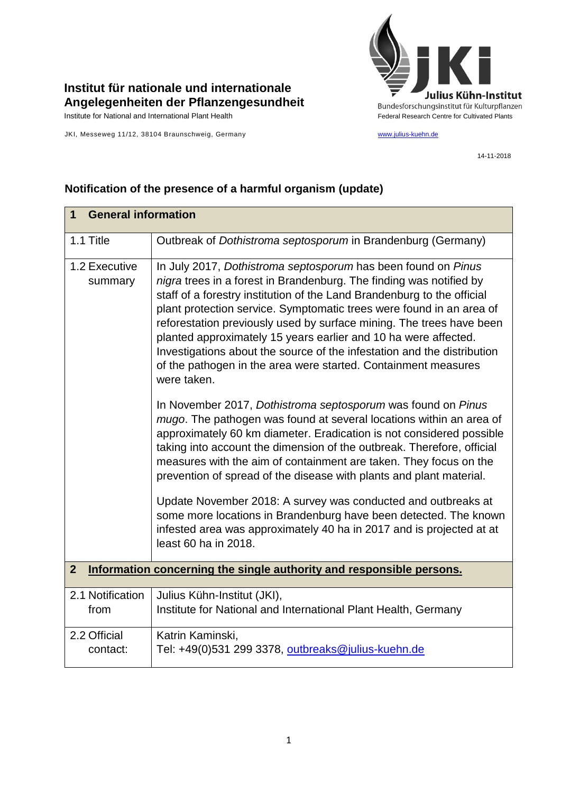

## **Institut für nationale und internationale Angelegenheiten der Pflanzengesundheit**

JKI, Messeweg 11/12, 38104 Braunschweig, Germany [www.julius-kuehn.de](http://www.julius-kuehn.de/)

14-11-2018

| <b>General information</b><br>1 |                                                                                                                                                                                                                                                                                                                                                                                                                                                                                                                                                                                                |  |
|---------------------------------|------------------------------------------------------------------------------------------------------------------------------------------------------------------------------------------------------------------------------------------------------------------------------------------------------------------------------------------------------------------------------------------------------------------------------------------------------------------------------------------------------------------------------------------------------------------------------------------------|--|
|                                 |                                                                                                                                                                                                                                                                                                                                                                                                                                                                                                                                                                                                |  |
| 1.1 Title                       | Outbreak of Dothistroma septosporum in Brandenburg (Germany)                                                                                                                                                                                                                                                                                                                                                                                                                                                                                                                                   |  |
| 1.2 Executive<br>summary        | In July 2017, Dothistroma septosporum has been found on Pinus<br>nigra trees in a forest in Brandenburg. The finding was notified by<br>staff of a forestry institution of the Land Brandenburg to the official<br>plant protection service. Symptomatic trees were found in an area of<br>reforestation previously used by surface mining. The trees have been<br>planted approximately 15 years earlier and 10 ha were affected.<br>Investigations about the source of the infestation and the distribution<br>of the pathogen in the area were started. Containment measures<br>were taken. |  |
|                                 | In November 2017, Dothistroma septosporum was found on Pinus<br>mugo. The pathogen was found at several locations within an area of<br>approximately 60 km diameter. Eradication is not considered possible<br>taking into account the dimension of the outbreak. Therefore, official<br>measures with the aim of containment are taken. They focus on the<br>prevention of spread of the disease with plants and plant material.                                                                                                                                                              |  |
|                                 | Update November 2018: A survey was conducted and outbreaks at<br>some more locations in Brandenburg have been detected. The known<br>infested area was approximately 40 ha in 2017 and is projected at at<br>least 60 ha in 2018.                                                                                                                                                                                                                                                                                                                                                              |  |
| $\overline{2}$                  | Information concerning the single authority and responsible persons.                                                                                                                                                                                                                                                                                                                                                                                                                                                                                                                           |  |
| 2.1 Notification                | Julius Kühn-Institut (JKI),                                                                                                                                                                                                                                                                                                                                                                                                                                                                                                                                                                    |  |
| from                            | Institute for National and International Plant Health, Germany                                                                                                                                                                                                                                                                                                                                                                                                                                                                                                                                 |  |
| 2.2 Official<br>contact:        | Katrin Kaminski,<br>Tel: +49(0)531 299 3378, outbreaks@julius-kuehn.de                                                                                                                                                                                                                                                                                                                                                                                                                                                                                                                         |  |

## **Notification of the presence of a harmful organism (update)**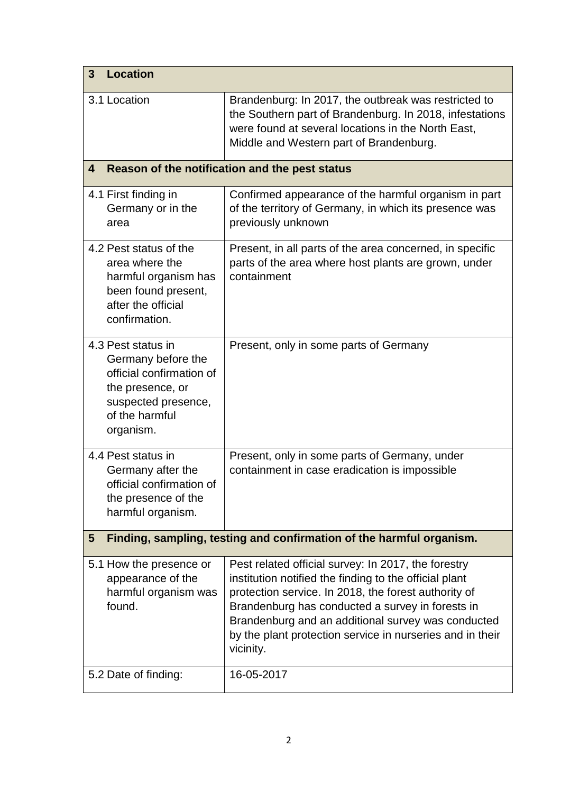| <b>Location</b><br>3                                                                                                                           |                                                                                                                                                                                                                                                                                                                                                           |  |  |  |
|------------------------------------------------------------------------------------------------------------------------------------------------|-----------------------------------------------------------------------------------------------------------------------------------------------------------------------------------------------------------------------------------------------------------------------------------------------------------------------------------------------------------|--|--|--|
| 3.1 Location                                                                                                                                   | Brandenburg: In 2017, the outbreak was restricted to<br>the Southern part of Brandenburg. In 2018, infestations<br>were found at several locations in the North East,<br>Middle and Western part of Brandenburg.                                                                                                                                          |  |  |  |
| Reason of the notification and the pest status<br>4                                                                                            |                                                                                                                                                                                                                                                                                                                                                           |  |  |  |
| 4.1 First finding in<br>Germany or in the<br>area                                                                                              | Confirmed appearance of the harmful organism in part<br>of the territory of Germany, in which its presence was<br>previously unknown                                                                                                                                                                                                                      |  |  |  |
| 4.2 Pest status of the<br>area where the<br>harmful organism has<br>been found present,<br>after the official<br>confirmation.                 | Present, in all parts of the area concerned, in specific<br>parts of the area where host plants are grown, under<br>containment                                                                                                                                                                                                                           |  |  |  |
| 4.3 Pest status in<br>Germany before the<br>official confirmation of<br>the presence, or<br>suspected presence,<br>of the harmful<br>organism. | Present, only in some parts of Germany                                                                                                                                                                                                                                                                                                                    |  |  |  |
| 4.4 Pest status in<br>Germany after the<br>official confirmation of<br>the presence of the<br>harmful organism.                                | Present, only in some parts of Germany, under<br>containment in case eradication is impossible                                                                                                                                                                                                                                                            |  |  |  |
| Finding, sampling, testing and confirmation of the harmful organism.<br>$5\phantom{1}$                                                         |                                                                                                                                                                                                                                                                                                                                                           |  |  |  |
| 5.1 How the presence or<br>appearance of the<br>harmful organism was<br>found.                                                                 | Pest related official survey: In 2017, the forestry<br>institution notified the finding to the official plant<br>protection service. In 2018, the forest authority of<br>Brandenburg has conducted a survey in forests in<br>Brandenburg and an additional survey was conducted<br>by the plant protection service in nurseries and in their<br>vicinity. |  |  |  |
| 5.2 Date of finding:                                                                                                                           | 16-05-2017                                                                                                                                                                                                                                                                                                                                                |  |  |  |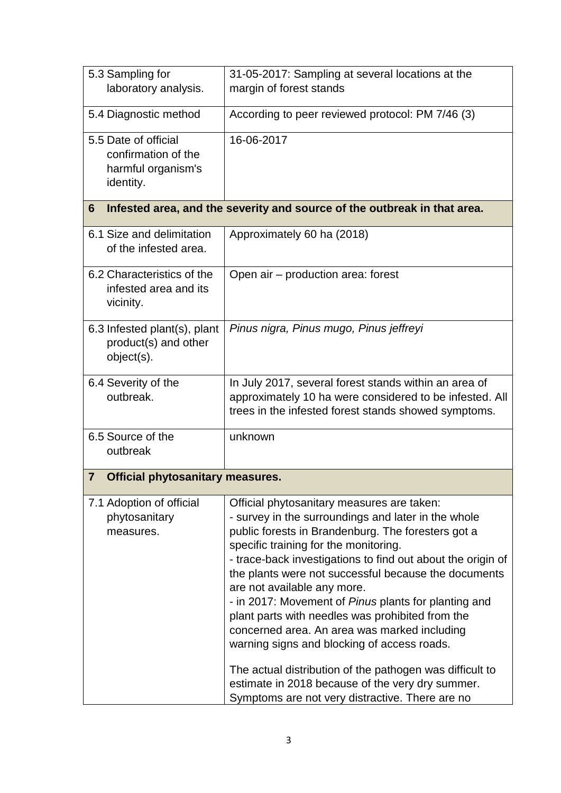| 5.3 Sampling for<br>laboratory analysis.                                       | 31-05-2017: Sampling at several locations at the<br>margin of forest stands                                                                                                                                                                                                                                                                                                                                                                                                                                                                                                                                                                                                                                                          |  |  |  |
|--------------------------------------------------------------------------------|--------------------------------------------------------------------------------------------------------------------------------------------------------------------------------------------------------------------------------------------------------------------------------------------------------------------------------------------------------------------------------------------------------------------------------------------------------------------------------------------------------------------------------------------------------------------------------------------------------------------------------------------------------------------------------------------------------------------------------------|--|--|--|
| 5.4 Diagnostic method                                                          | According to peer reviewed protocol: PM 7/46 (3)                                                                                                                                                                                                                                                                                                                                                                                                                                                                                                                                                                                                                                                                                     |  |  |  |
| 5.5 Date of official<br>confirmation of the<br>harmful organism's<br>identity. | 16-06-2017                                                                                                                                                                                                                                                                                                                                                                                                                                                                                                                                                                                                                                                                                                                           |  |  |  |
| Infested area, and the severity and source of the outbreak in that area.<br>6  |                                                                                                                                                                                                                                                                                                                                                                                                                                                                                                                                                                                                                                                                                                                                      |  |  |  |
| 6.1 Size and delimitation<br>of the infested area.                             | Approximately 60 ha (2018)                                                                                                                                                                                                                                                                                                                                                                                                                                                                                                                                                                                                                                                                                                           |  |  |  |
| 6.2 Characteristics of the<br>infested area and its<br>vicinity.               | Open air – production area: forest                                                                                                                                                                                                                                                                                                                                                                                                                                                                                                                                                                                                                                                                                                   |  |  |  |
| 6.3 Infested plant(s), plant<br>product(s) and other<br>object(s).             | Pinus nigra, Pinus mugo, Pinus jeffreyi                                                                                                                                                                                                                                                                                                                                                                                                                                                                                                                                                                                                                                                                                              |  |  |  |
| 6.4 Severity of the<br>outbreak.                                               | In July 2017, several forest stands within an area of<br>approximately 10 ha were considered to be infested. All<br>trees in the infested forest stands showed symptoms.                                                                                                                                                                                                                                                                                                                                                                                                                                                                                                                                                             |  |  |  |
| 6.5 Source of the<br>outbreak                                                  | unknown                                                                                                                                                                                                                                                                                                                                                                                                                                                                                                                                                                                                                                                                                                                              |  |  |  |
| $\overline{7}$<br><b>Official phytosanitary measures.</b>                      |                                                                                                                                                                                                                                                                                                                                                                                                                                                                                                                                                                                                                                                                                                                                      |  |  |  |
| 7.1 Adoption of official<br>phytosanitary<br>measures.                         | Official phytosanitary measures are taken:<br>- survey in the surroundings and later in the whole<br>public forests in Brandenburg. The foresters got a<br>specific training for the monitoring.<br>- trace-back investigations to find out about the origin of<br>the plants were not successful because the documents<br>are not available any more.<br>- in 2017: Movement of Pinus plants for planting and<br>plant parts with needles was prohibited from the<br>concerned area. An area was marked including<br>warning signs and blocking of access roads.<br>The actual distribution of the pathogen was difficult to<br>estimate in 2018 because of the very dry summer.<br>Symptoms are not very distractive. There are no |  |  |  |